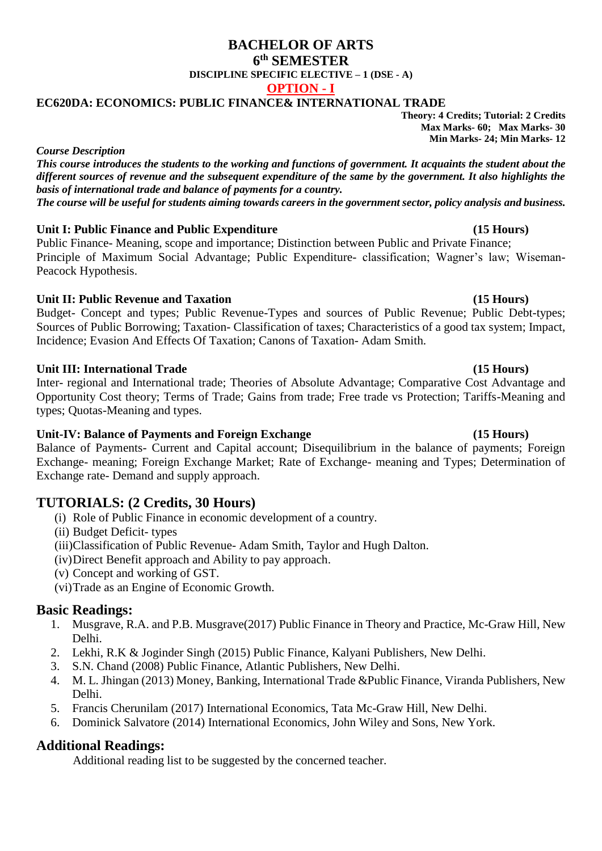## **BACHELOR OF ARTS 6 th SEMESTER DISCIPLINE SPECIFIC ELECTIVE – 1 (DSE - A) OPTION - I**

## **EC620DA: ECONOMICS: PUBLIC FINANCE& INTERNATIONAL TRADE**

**Theory: 4 Credits; Tutorial: 2 Credits Max Marks- 60; Max Marks- 30 Min Marks- 24; Min Marks- 12**

*Course Description*

*This course introduces the students to the working and functions of government. It acquaints the student about the different sources of revenue and the subsequent expenditure of the same by the government. It also highlights the basis of international trade and balance of payments for a country. The course will be useful for students aiming towards careers in the government sector, policy analysis and business.*

## **Unit I: Public Finance and Public Expenditure (15 Hours)**

Public Finance- Meaning, scope and importance; Distinction between Public and Private Finance; Principle of Maximum Social Advantage; Public Expenditure- classification; Wagner's law; Wiseman-Peacock Hypothesis.

# **Unit II: Public Revenue and Taxation (15 Hours)**

Budget- Concept and types; Public Revenue-Types and sources of Public Revenue; Public Debt-types; Sources of Public Borrowing; Taxation- Classification of taxes; Characteristics of a good tax system; Impact, Incidence; Evasion And Effects Of Taxation; Canons of Taxation- Adam Smith.

## **Unit III: International Trade (15 Hours)**

Inter- regional and International trade; Theories of Absolute Advantage; Comparative Cost Advantage and Opportunity Cost theory; Terms of Trade; Gains from trade; Free trade vs Protection; Tariffs-Meaning and types; Quotas-Meaning and types.

## **Unit-IV: Balance of Payments and Foreign Exchange (15 Hours)**

Balance of Payments- Current and Capital account; Disequilibrium in the balance of payments; Foreign Exchange- meaning; Foreign Exchange Market; Rate of Exchange- meaning and Types; Determination of Exchange rate- Demand and supply approach.

# **TUTORIALS: (2 Credits, 30 Hours)**

- (i) Role of Public Finance in economic development of a country.
- (ii) Budget Deficit- types
- (iii)Classification of Public Revenue- Adam Smith, Taylor and Hugh Dalton.
- (iv)Direct Benefit approach and Ability to pay approach.
- (v) Concept and working of GST.
- (vi)Trade as an Engine of Economic Growth.

# **Basic Readings:**

- 1. Musgrave, R.A. and P.B. Musgrave(2017) Public Finance in Theory and Practice, Mc-Graw Hill, New Delhi.
- 2. Lekhi, R.K & Joginder Singh (2015) Public Finance, Kalyani Publishers, New Delhi.
- 3. S.N. Chand (2008) Public Finance, Atlantic Publishers, New Delhi.
- 4. M. L. Jhingan (2013) Money, Banking, International Trade &Public Finance, Viranda Publishers, New Delhi.
- 5. Francis Cherunilam (2017) International Economics, Tata Mc-Graw Hill, New Delhi.
- 6. Dominick Salvatore (2014) International Economics, John Wiley and Sons, New York.

# **Additional Readings:**

Additional reading list to be suggested by the concerned teacher.